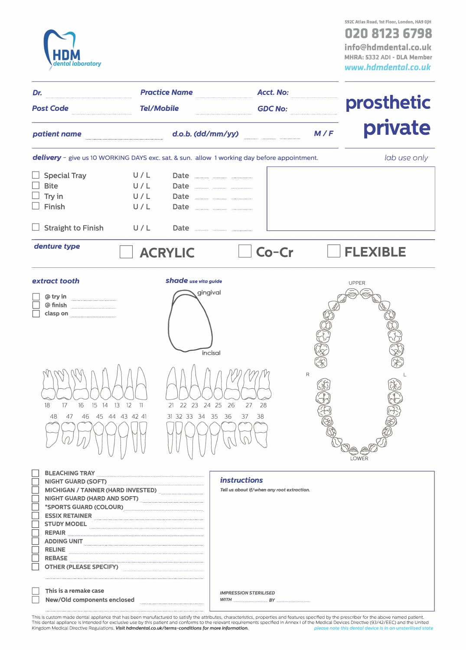

**592C Atlas Road, 1st Floor, London, HA9 OJH 020 8123 6798 info@hdmdental.co.ul< MHRA: 5332 ADI - DLA Member**  *www.hdmdental.co.uk* 

| Dr.                                                                                                                                                                                                                                                             |                                     | <b>Practice Name</b>                                                                         | <b>Acct. No:</b>                                                  |     |                       |
|-----------------------------------------------------------------------------------------------------------------------------------------------------------------------------------------------------------------------------------------------------------------|-------------------------------------|----------------------------------------------------------------------------------------------|-------------------------------------------------------------------|-----|-----------------------|
| <b>Tel/Mobile</b><br><b>Post Code</b>                                                                                                                                                                                                                           |                                     |                                                                                              | <b>GDC No:</b>                                                    |     | prosthetic            |
| patient name                                                                                                                                                                                                                                                    |                                     | d.o.b. (dd/mm/yy)                                                                            |                                                                   | M/F | private               |
| delivery - give us 10 WORKING DAYS exc. sat. & sun. allow 1 working day before appointment.                                                                                                                                                                     |                                     |                                                                                              |                                                                   |     | lab use only          |
| <b>Special Tray</b><br><b>Bite</b><br>Try in<br>Finish<br><b>Straight to Finish</b>                                                                                                                                                                             | U/L<br>U/L<br>U/L<br>U/L<br>U/L     | Date ______ _____ ______<br>Date <b>1988</b><br>Date ____ ____ _____<br>Date <u></u>         |                                                                   |     |                       |
| denture type                                                                                                                                                                                                                                                    |                                     | <b>ACRYLIC</b>                                                                               | Co-Cr                                                             |     | <b>FLEXIBLE</b>       |
| extract tooth<br>@try in<br>@ finish<br>clasp on<br>17<br>16<br>15 14 13 12<br>18<br>47<br>48                                                                                                                                                                   | $\frac{11}{2}$<br>46 45 44 43 42 41 | <b>Shade</b> use vita guide<br>gingival<br>incisal<br>21 22 23 24 25 26<br>31 32 33 34 35 36 | 27<br>28<br>37<br>38                                              | R   | <b>UPPER</b><br>LOWER |
| MICHIGAN / TANNER (HARD INVESTED)<br>NIGHT GUARD (HARD AND SOFT)<br>*SPORTS GUARD (COLOUR)<br>STUDY MODEL <b>CONSUMING THE CONSUMING THE CONSUMING TERM</b><br>ADDING UNIT<br><b>RELINE</b><br><b>REBASE</b><br>OTHER (PLEASE SPECIFY) <b>CONTRACT SERVICES</b> |                                     |                                                                                              | <i>instructions</i><br>Tell us about if/when any root extraction. |     |                       |

| This is a rem |
|---------------|
| $N_{out}/$    |

| This is a remake case       | <b>IMPRESSION STERILISED</b> |  |
|-----------------------------|------------------------------|--|
| New/Old components enclosed | <b>WITH</b>                  |  |

This is custom made dental appliance that has been manufactured to satisfy the attributes, characteristics, properties and features specified by the prescriber for the above named patient.<br>This dental appliance is intended